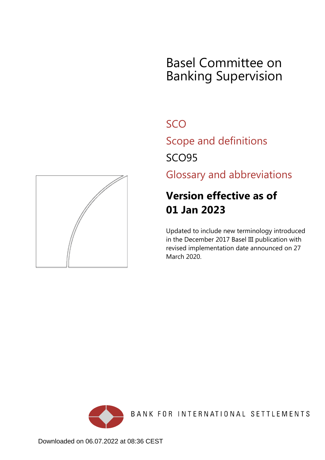## Basel Committee on Banking Supervision

**SCO** 

Scope and definitions

SCO95

Glossary and abbreviations

## **Version effective as of 01 Jan 2023**

Updated to include new terminology introduced in the December 2017 Basel III publication with revised implementation date announced on 27 March 2020.



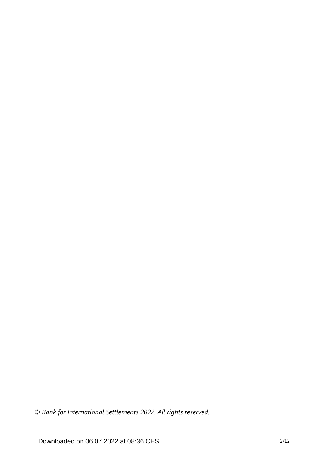*© Bank for International Settlements 2022. All rights reserved.*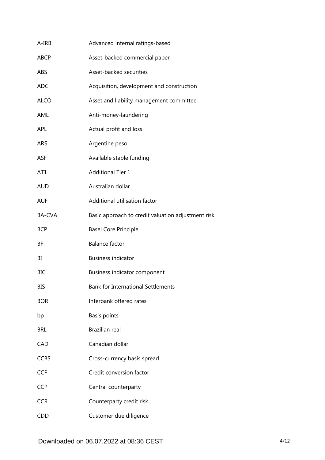| A-IRB         | Advanced internal ratings-based                    |
|---------------|----------------------------------------------------|
| <b>ABCP</b>   | Asset-backed commercial paper                      |
| ABS           | Asset-backed securities                            |
| <b>ADC</b>    | Acquisition, development and construction          |
| <b>ALCO</b>   | Asset and liability management committee           |
| AML           | Anti-money-laundering                              |
| <b>APL</b>    | Actual profit and loss                             |
| <b>ARS</b>    | Argentine peso                                     |
| <b>ASF</b>    | Available stable funding                           |
| AT1           | <b>Additional Tier 1</b>                           |
| <b>AUD</b>    | Australian dollar                                  |
| <b>AUF</b>    | Additional utilisation factor                      |
| <b>BA-CVA</b> | Basic approach to credit valuation adjustment risk |
| <b>BCP</b>    | <b>Basel Core Principle</b>                        |
| ΒF            | <b>Balance factor</b>                              |
| BI            | <b>Business indicator</b>                          |
| <b>BIC</b>    | Business indicator component                       |
| BIS           | <b>Bank for International Settlements</b>          |
| <b>BOR</b>    | Interbank offered rates                            |
| bp            | Basis points                                       |
| <b>BRL</b>    | Brazilian real                                     |
| CAD           | Canadian dollar                                    |
| <b>CCBS</b>   | Cross-currency basis spread                        |
| <b>CCF</b>    | Credit conversion factor                           |
| <b>CCP</b>    | Central counterparty                               |
| <b>CCR</b>    | Counterparty credit risk                           |
| <b>CDD</b>    | Customer due diligence                             |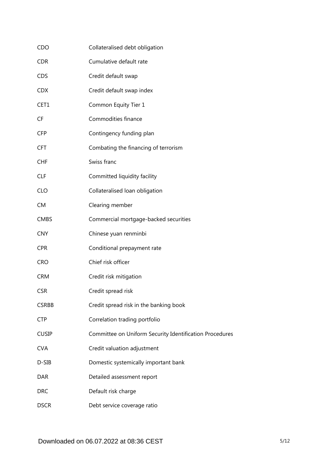| CDO          | Collateralised debt obligation                          |
|--------------|---------------------------------------------------------|
| <b>CDR</b>   | Cumulative default rate                                 |
| <b>CDS</b>   | Credit default swap                                     |
| <b>CDX</b>   | Credit default swap index                               |
| CET1         | Common Equity Tier 1                                    |
| <b>CF</b>    | Commodities finance                                     |
| <b>CFP</b>   | Contingency funding plan                                |
| <b>CFT</b>   | Combating the financing of terrorism                    |
| <b>CHF</b>   | Swiss franc                                             |
| <b>CLF</b>   | Committed liquidity facility                            |
| <b>CLO</b>   | Collateralised loan obligation                          |
| <b>CM</b>    | Clearing member                                         |
| <b>CMBS</b>  | Commercial mortgage-backed securities                   |
| <b>CNY</b>   | Chinese yuan renminbi                                   |
| <b>CPR</b>   | Conditional prepayment rate                             |
| <b>CRO</b>   | Chief risk officer                                      |
| <b>CRM</b>   | Credit risk mitigation                                  |
| <b>CSR</b>   | Credit spread risk                                      |
| <b>CSRBB</b> | Credit spread risk in the banking book                  |
| <b>CTP</b>   | Correlation trading portfolio                           |
| <b>CUSIP</b> | Committee on Uniform Security Identification Procedures |
| <b>CVA</b>   | Credit valuation adjustment                             |
| D-SIB        | Domestic systemically important bank                    |
| <b>DAR</b>   | Detailed assessment report                              |
| <b>DRC</b>   | Default risk charge                                     |
| <b>DSCR</b>  | Debt service coverage ratio                             |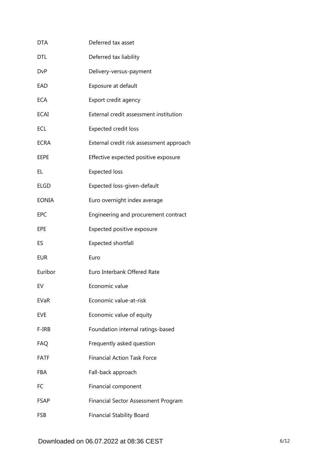| DTA         | Deferred tax asset                       |
|-------------|------------------------------------------|
| DTL         | Deferred tax liability                   |
| <b>DvP</b>  | Delivery-versus-payment                  |
| EAD         | Exposure at default                      |
| <b>ECA</b>  | Export credit agency                     |
| <b>ECAI</b> | External credit assessment institution   |
| ECL         | <b>Expected credit loss</b>              |
| <b>ECRA</b> | External credit risk assessment approach |
| EEPE        | Effective expected positive exposure     |
| EL          | <b>Expected loss</b>                     |
| <b>ELGD</b> | Expected loss-given-default              |
| EONIA       | Euro overnight index average             |
| EPC         | Engineering and procurement contract     |
| EPE         | Expected positive exposure               |
| ES          | Expected shortfall                       |
| EUR         | Euro                                     |
| Euribor     | Euro Interbank Offered Rate              |
| EV          | Economic value                           |
| EVaR        | Economic value-at-risk                   |
| EVE         | Economic value of equity                 |
| F-IRB       | Foundation internal ratings-based        |
| <b>FAQ</b>  | Frequently asked question                |
| <b>FATF</b> | <b>Financial Action Task Force</b>       |
| FBA         | Fall-back approach                       |
| FC          | Financial component                      |
| FSAP        | Financial Sector Assessment Program      |
| <b>FSB</b>  | <b>Financial Stability Board</b>         |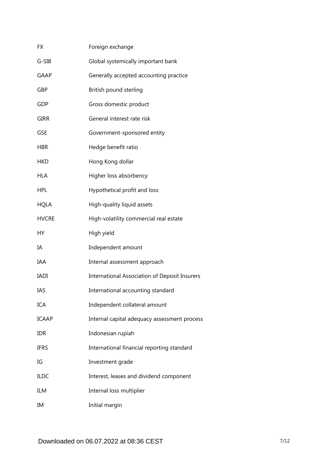| FX           | Foreign exchange                                     |
|--------------|------------------------------------------------------|
| G-SIB        | Global systemically important bank                   |
| <b>GAAP</b>  | Generally accepted accounting practice               |
| GBP          | British pound sterling                               |
| GDP          | Gross domestic product                               |
| <b>GIRR</b>  | General interest rate risk                           |
| <b>GSE</b>   | Government-sponsored entity                          |
| <b>HBR</b>   | Hedge benefit ratio                                  |
| <b>HKD</b>   | Hong Kong dollar                                     |
| <b>HLA</b>   | Higher loss absorbency                               |
| <b>HPL</b>   | Hypothetical profit and loss                         |
| <b>HQLA</b>  | High-quality liquid assets                           |
| <b>HVCRE</b> | High-volatility commercial real estate               |
| НY           | High yield                                           |
| ΙA           | Independent amount                                   |
| IAA          | Internal assessment approach                         |
| <b>IADI</b>  | <b>International Association of Deposit Insurers</b> |
| IAS          | International accounting standard                    |
| <b>ICA</b>   | Independent collateral amount                        |
| <b>ICAAP</b> | Internal capital adequacy assessment process         |
| <b>IDR</b>   | Indonesian rupiah                                    |
| <b>IFRS</b>  | International financial reporting standard           |
| IG           | Investment grade                                     |
| <b>ILDC</b>  | Interest, leases and dividend component              |
| ILM          | Internal loss multiplier                             |
| IM           | Initial margin                                       |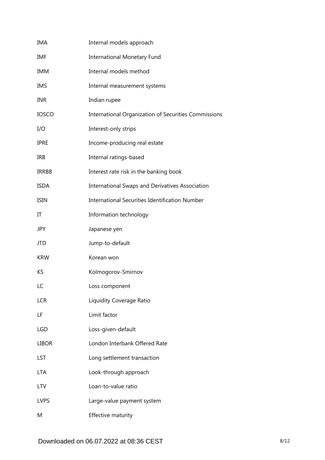| IMA          | Internal models approach                              |
|--------------|-------------------------------------------------------|
| IMF          | <b>International Monetary Fund</b>                    |
| <b>IMM</b>   | Internal models method                                |
| <b>IMS</b>   | Internal measurement systems                          |
| <b>INR</b>   | Indian rupee                                          |
| <b>IOSCO</b> | International Organization of Securities Commissions  |
| I/O          | Interest-only strips                                  |
| <b>IPRE</b>  | Income-producing real estate                          |
| <b>IRB</b>   | Internal ratings-based                                |
| <b>IRRBB</b> | Interest rate risk in the banking book                |
| <b>ISDA</b>  | International Swaps and Derivatives Association       |
| <b>ISIN</b>  | <b>International Securities Identification Number</b> |
| IT           | Information technology                                |
| <b>JPY</b>   | Japanese yen                                          |
| JTD          | Jump-to-default                                       |
| <b>KRW</b>   | Korean won                                            |
| KS           | Kolmogorov-Smirnov                                    |
| LC           | Loss component                                        |
| <b>LCR</b>   | Liquidity Coverage Ratio                              |
| LF           | Limit factor                                          |
| <b>LGD</b>   | Loss-given-default                                    |
| <b>LIBOR</b> | London Interbank Offered Rate                         |
| LST          | Long settlement transaction                           |
| <b>LTA</b>   | Look-through approach                                 |
| <b>LTV</b>   | Loan-to-value ratio                                   |
| <b>LVPS</b>  | Large-value payment system                            |
| M            | Effective maturity                                    |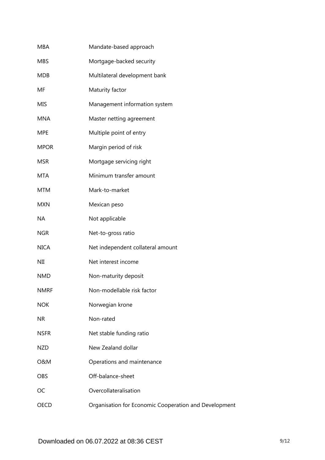| <b>MBA</b>     | Mandate-based approach                                |
|----------------|-------------------------------------------------------|
| <b>MBS</b>     | Mortgage-backed security                              |
| <b>MDB</b>     | Multilateral development bank                         |
| MF             | Maturity factor                                       |
| <b>MIS</b>     | Management information system                         |
| <b>MNA</b>     | Master netting agreement                              |
| <b>MPE</b>     | Multiple point of entry                               |
| <b>MPOR</b>    | Margin period of risk                                 |
| <b>MSR</b>     | Mortgage servicing right                              |
| <b>MTA</b>     | Minimum transfer amount                               |
| <b>MTM</b>     | Mark-to-market                                        |
| <b>MXN</b>     | Mexican peso                                          |
| <b>NA</b>      | Not applicable                                        |
| <b>NGR</b>     | Net-to-gross ratio                                    |
| <b>NICA</b>    | Net independent collateral amount                     |
| NII            | Net interest income                                   |
| <b>NMD</b>     | Non-maturity deposit                                  |
| <b>NMRF</b>    | Non-modellable risk factor                            |
| <b>NOK</b>     | Norwegian krone                                       |
| <b>NR</b>      | Non-rated                                             |
| <b>NSFR</b>    | Net stable funding ratio                              |
| <b>NZD</b>     | New Zealand dollar                                    |
| <b>O&amp;M</b> | Operations and maintenance                            |
| <b>OBS</b>     | Off-balance-sheet                                     |
| OC             | Overcollateralisation                                 |
| <b>OECD</b>    | Organisation for Economic Cooperation and Development |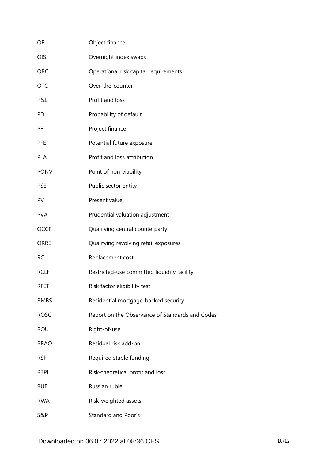| OF          | Object finance                                  |
|-------------|-------------------------------------------------|
| <b>OIS</b>  | Overnight index swaps                           |
| <b>ORC</b>  | Operational risk capital requirements           |
| <b>OTC</b>  | Over-the-counter                                |
| P&L         | Profit and loss                                 |
| PD          | Probability of default                          |
| PF          | Project finance                                 |
| <b>PFE</b>  | Potential future exposure                       |
| <b>PLA</b>  | Profit and loss attribution                     |
| <b>PONV</b> | Point of non-viability                          |
| <b>PSE</b>  | Public sector entity                            |
| PV          | Present value                                   |
| <b>PVA</b>  | Prudential valuation adjustment                 |
| QCCP        | Qualifying central counterparty                 |
| QRRE        | Qualifying revolving retail exposures           |
| <b>RC</b>   | Replacement cost                                |
| <b>RCLF</b> | Restricted-use committed liquidity facility     |
| RFET        | Risk factor eligibility test                    |
| <b>RMBS</b> | Residential mortgage-backed security            |
| <b>ROSC</b> | Report on the Observance of Standards and Codes |
| <b>ROU</b>  | Right-of-use                                    |
| <b>RRAO</b> | Residual risk add-on                            |
| <b>RSF</b>  | Required stable funding                         |
| <b>RTPL</b> | Risk-theoretical profit and loss                |
| <b>RUB</b>  | Russian ruble                                   |
| <b>RWA</b>  | Risk-weighted assets                            |
| S&P         | <b>Standard and Poor's</b>                      |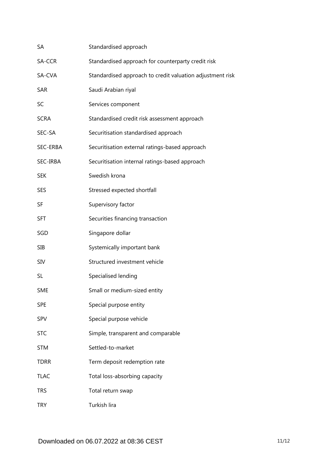| SA          | Standardised approach                                     |
|-------------|-----------------------------------------------------------|
| SA-CCR      | Standardised approach for counterparty credit risk        |
| SA-CVA      | Standardised approach to credit valuation adjustment risk |
| SAR         | Saudi Arabian riyal                                       |
| SC          | Services component                                        |
| <b>SCRA</b> | Standardised credit risk assessment approach              |
| SEC-SA      | Securitisation standardised approach                      |
| SEC-ERBA    | Securitisation external ratings-based approach            |
| SEC-IRBA    | Securitisation internal ratings-based approach            |
| <b>SEK</b>  | Swedish krona                                             |
| <b>SES</b>  | Stressed expected shortfall                               |
| SF          | Supervisory factor                                        |
| <b>SFT</b>  | Securities financing transaction                          |
| SGD         | Singapore dollar                                          |
| <b>SIB</b>  | Systemically important bank                               |
| <b>SIV</b>  | Structured investment vehicle                             |
| SL          | Specialised lending                                       |
| <b>SME</b>  | Small or medium-sized entity                              |
| <b>SPE</b>  | Special purpose entity                                    |
| SPV         | Special purpose vehicle                                   |
| <b>STC</b>  | Simple, transparent and comparable                        |
| <b>STM</b>  | Settled-to-market                                         |
| <b>TDRR</b> | Term deposit redemption rate                              |
| <b>TLAC</b> | Total loss-absorbing capacity                             |
| <b>TRS</b>  | Total return swap                                         |
| <b>TRY</b>  | Turkish lira                                              |